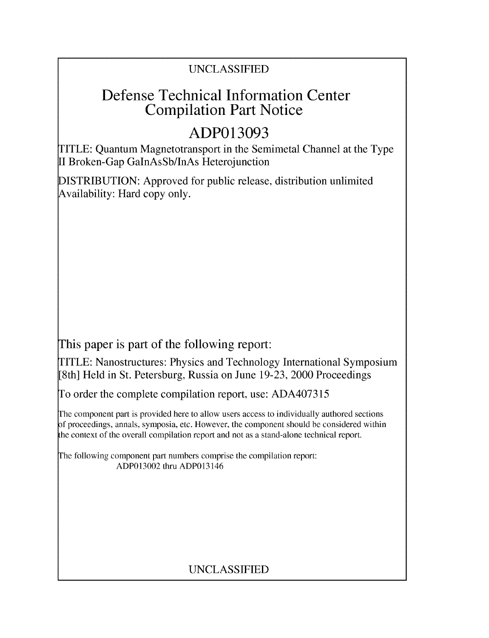## UNCLASSIFIED

## Defense Technical Information Center Compilation Part Notice

# **ADP013093**

TITLE: Quantum Magnetotransport in the Semimetal Channel at the Type II Broken-Gap GaInAsSb/InAs Heterojunction

DISTRIBUTION: Approved for public release, distribution unlimited Availability: Hard copy only.

This paper is part of the following report:

TITLE: Nanostructures: Physics and Technology International Symposium [8th] Held in St. Petersburg, Russia on June 19-23, 2000 Proceedings

To order the complete compilation report, use: ADA407315

The component part is provided here to allow users access to individually authored sections f proceedings, annals, symposia, etc. However, the component should be considered within the context of the overall compilation report and not as a stand-alone technical report.

The following component part numbers comprise the compilation report: ADP013002 thru ADP013146

## UNCLASSIFIED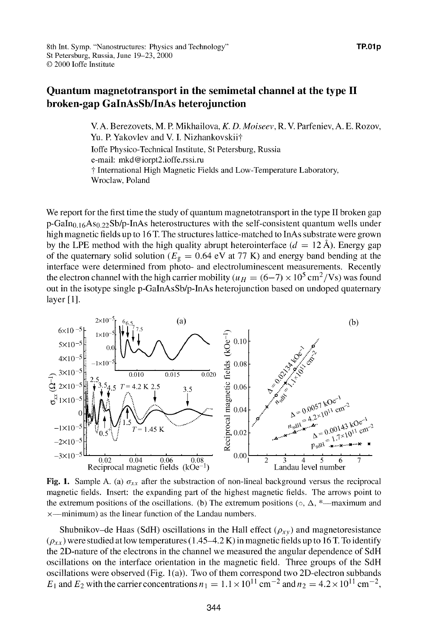### Quantum magnetotransport in the semimetal channel at the type **II** broken-gap GaInAsSb/InAs heterojunction

V. A. Berezovets, M. P. Mikhailova, *K. D. Moiseev,* R. V. Parfeniev, A. E. Rozov, Yu. P. Yakovlev and V. I. Nizhankovskii† Joffe Physico-Technical Institute, St Petersburg, Russia e-mail: mkd@iorpt2.ioffe.rssi.ru **T** International High Magnetic Fields and Low-Temperature Laboratory, Wroclaw, Poland

We report for the first time the study of quantum magnetotransport in the type II broken gap p-GaIn<sub>0.16</sub>As<sub>0.22</sub>Sb/p-InAs heterostructures with the self-consistent quantum wells under high magnetic fields up to 16 T. The structures lattice-matched to InAs substrate were grown by the LPE method with the high quality abrupt heterointerface  $(d = 12 \text{ Å})$ . Energy gap of the quaternary solid solution ( $E<sub>g</sub> = 0.64$  eV at 77 K) and energy band bending at the interface were determined from photo- and electroluminescent measurements. Recently the electron channel with the high carrier mobility ( $u_H = (6-7) \times 10^5 \text{ cm}^2/\text{Vs}$ ) was found out in the isotype single p-GaInAsSb/p-InAs heterojunction based on undoped quaternary layer [1].



Fig. 1. Sample A. (a)  $\sigma_{xx}$  after the substraction of non-lineal background versus the reciprocal magnetic fields. Insert: the expanding part of the highest magnetic fields. The arrows point to the extremum positions of the oscillations. **(b)** The extremum positions  $(\circ, \Delta, *$ —maximum and  $x$ —minimum) as the linear function of the Landau numbers.

Shubnikov-de Haas (SdH) oscillations in the Hall effect  $(\rho_{xy})$  and magnetoresistance  $(\rho_{xx})$  were studied at low temperatures (1.45–4.2 K) in magnetic fields up to 16 T. To identify the 2D-nature of the electrons in the channel we measured the angular dependence of SdH oscillations on the interface orientation in the magnetic field. Three groups of the SdH oscillations were observed (Fig.  $1(a)$ ). Two of them correspond two 2D-electron subbands  $E_1$  and  $E_2$  with the carrier concentrations  $n_1 = 1.1 \times 10^{11}$  cm<sup>-2</sup> and  $n_2 = 4.2 \times 10^{11}$  cm<sup>-2</sup>,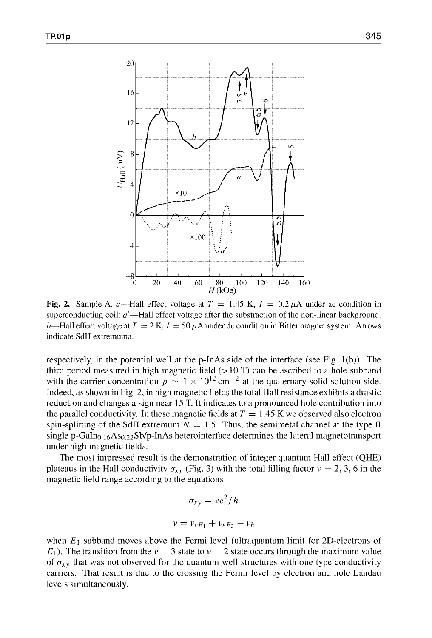

Fig. 2. Sample A. a—Hall effect voltage at  $T = 1.45$  K,  $I = 0.2 \mu A$  under ac condition in superconducting coil;  $a'$ —Hall effect voltage after the substraction of the non-linear background. b—Hall effect voltage at  $T = 2 K$ ,  $I = 50 \mu A$  under dc condition in Bitter magnet system. Arrows indicate SdH extremuma.

respectively, in the potential well at the p-JnAs side of the interface (see Fig. 1 (b)). The third period measured in high magnetic field  $(>10 \text{ T})$  can be ascribed to a hole subband with the carrier concentration  $p \sim 1 \times 10^{12}$  cm<sup>-2</sup> at the quaternary solid solution side. Indeed, as shown in Fig. 2, in high magnetic fields the total Hall resistance exhibits a drastic reduction and changes a sign near 15 T. It indicates to a pronounced hole contribution into the parallel conductivity. In these magnetic fields at  $T = 1.45$  K we observed also electron spin-splitting of the SdH extremum  $N = 1.5$ . Thus, the semimetal channel at the type II single p-GaIn<sub>0.16</sub>As<sub>0.22</sub>Sb/p-InAs heterointerface determines the lateral magnetotransport under high magnetic fields.

The most impressed result is the demonstration of integer quantum Hall effect (QHE) plateaus in the Hall conductivity  $\sigma_{xy}$  (Fig. 3) with the total filling factor  $v = 2, 3, 6$  in the magnetic field range according to the equations

$$
\sigma_{xy} = v e^2 / h
$$

$$
v = v_{eE_1} + v_{eE_2} - v_h
$$

when  $E_1$  subband moves above the Fermi level (ultraquantum limit for 2D-electrons of  $E_1$ ). The transition from the  $v = 3$  state to  $v = 2$  state occurs through the maximum value of  $\sigma_{xy}$  that was not observed for the quantum well structures with one type conductivity carriers. That result is due to the crossing the Fermi level by electron and hole Landau levels simultaneously.